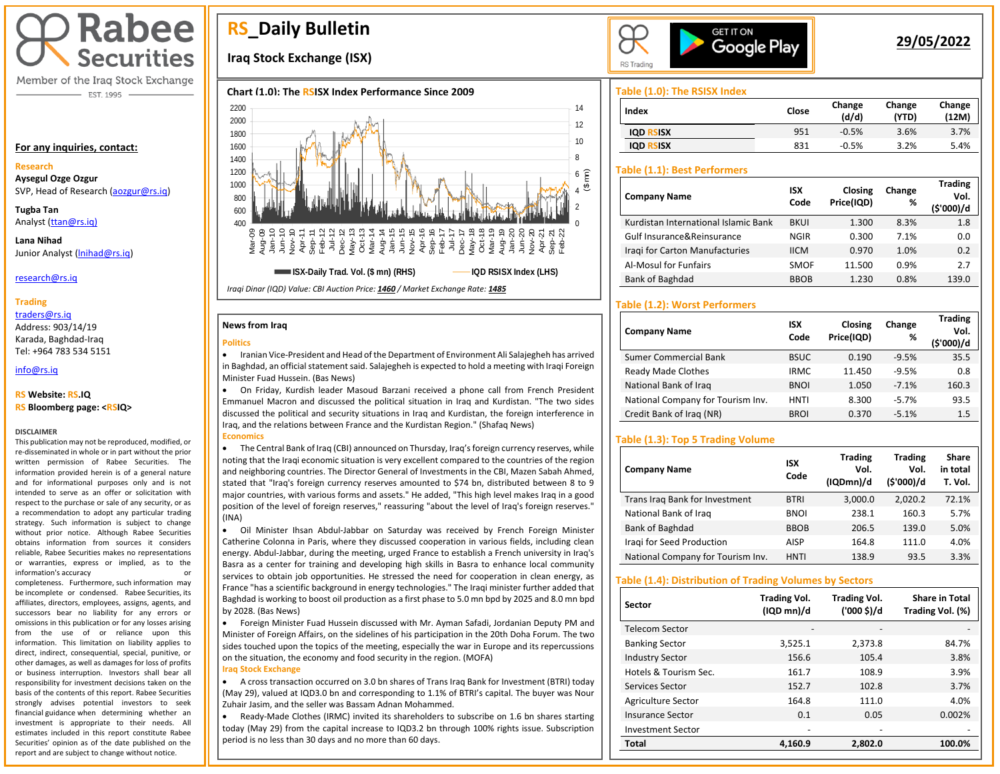# **Rabee Securities**

Member of the Iraq Stock Exchange - EST. 1995

#### **For any inquiries, contact:**

#### **Research**

**Aysegul Ozge Ozgur**  SVP, Head of Research [\(aozgur@rs.iq\)](mailto:aozgur@rs.iq)

**Tugba Tan** Analyst [\(ttan@rs.iq\)](mailto:ttan@rs.iq)

**Lana Nihad** Junior Analyst [\(lnihad@rs.iq\)](mailto:lnihad@rs.iq)

research@rs.iq

### **Trading**

traders@rs.iq

Address: 903/14/19 Karada, Baghdad-Iraq Tel: +964 783 534 5151

info@rs.iq İ

## **RS Website: RS.IQ**

**RS Bloomberg page: <RSIQ>**

#### **DISCLAIMER**

This publication may not be reproduced, modified, or re-disseminated in whole or in part without the prior written permission of Rabee Securities. The information provided herein is of a general nature and for informational purposes only and is not intended to serve as an offer or solicitation with respect to the purchase or sale of any security, or as a recommendation to adopt any particular trading strategy. Such information is subject to change without prior notice. Although Rabee Securities obtains information from sources it considers reliable, Rabee Securities makes no representations or warranties, express or implied, as to the information's accuracy or

completeness. Furthermore, such information may be incomplete or condensed. Rabee Securities, its affiliates, directors, employees, assigns, agents, and successors bear no liability for any errors or omissions in this publication or for any losses arising from the use of or reliance upon this information. This limitation on liability applies to direct, indirect, consequential, special, punitive, or other damages, as well as damages for loss of profits or business interruption. Investors shall bear all responsibility for investment decisions taken on the basis of the contents of this report. Rabee Securities strongly advises potential investors to seek financial guidance when determining whether an investment is appropriate to their needs. All estimates included in this report constitute Rabee Securities' opinion as of the date published on the report and are subject to change without notice.

# **RS\_Daily Bulletin**

# **Iraq Stock Exchange (ISX)**

## **Chart (1.0): The RSISX Index Performance Since 2009**



#### **News from Iraq**

#### **Politics**

• Iranian Vice-President and Head of the Department of Environment Ali Salajegheh has arrived in Baghdad, an official statement said. Salajegheh is expected to hold a meeting with Iraqi Foreign Minister Fuad Hussein. (Bas News)

• On Friday, Kurdish leader Masoud Barzani received a phone call from French President Emmanuel Macron and discussed the political situation in Iraq and Kurdistan. "The two sides discussed the political and security situations in Iraq and Kurdistan, the foreign interference in Iraq, and the relations between France and the Kurdistan Region." (Shafaq News)

#### **Economics**

• The Central Bank of Iraq (CBI) announced on Thursday, Iraq's foreign currency reserves, while noting that the Iraqi economic situation is very excellent compared to the countries of the region and neighboring countries. The Director General of Investments in the CBI, Mazen Sabah Ahmed, stated that "Iraq's foreign currency reserves amounted to \$74 bn, distributed between 8 to 9 major countries, with various forms and assets." He added, "This high level makes Iraq in a good position of the level of foreign reserves," reassuring "about the level of Iraq's foreign reserves." (INA)

• Oil Minister Ihsan Abdul-Jabbar on Saturday was received by French Foreign Minister Catherine Colonna in Paris, where they discussed cooperation in various fields, including clean energy. Abdul-Jabbar, during the meeting, urged France to establish a French university in Iraq's Basra as a center for training and developing high skills in Basra to enhance local community services to obtain job opportunities. He stressed the need for cooperation in clean energy, as France "has a scientific background in energy technologies." The Iraqi minister further added that Baghdad is working to boost oil production as a first phase to 5.0 mn bpd by 2025 and 8.0 mn bpd by 2028. (Bas News)

I • Foreign Minister Fuad Hussein discussed with Mr. Ayman Safadi, Jordanian Deputy PM and Minister of Foreign Affairs, on the sidelines of his participation in the 20th Doha Forum. The two sides touched upon the topics of the meeting, especially the war in Europe and its repercussions on the situation, the economy and food security in the region. (MOFA) **Iraq Stock Exchange**

• A cross transaction occurred on 3.0 bn shares of Trans Iraq Bank for Investment (BTRI) today (May 29), valued at IQD3.0 bn and corresponding to 1.1% of BTRI's capital. The buyer was Nour Zuhair Jasim, and the seller was Bassam Adnan Mohammed.

• Ready-Made Clothes (IRMC) invited its shareholders to subscribe on 1.6 bn shares starting today (May 29) from the capital increase to IQD3.2 bn through 100% rights issue. Subscription period is no less than 30 days and no more than 60 days.



# **29/05/2022**

**Trading** 

## **Table (1.0): The RSISX Index**

| Index            | Close | Change<br>(d/d) | Change<br>(YTD) | Change<br>(12M) |
|------------------|-------|-----------------|-----------------|-----------------|
| <b>IQD RSISX</b> | 951   | $-0.5%$         | 3.6%            | 3.7%            |
| <b>IQD RSISX</b> | 831   | $-0.5%$         | 3.2%            | 5.4%            |

# **USD RSISX Table (1.1): Best Performers**

| <b>Company Name</b>                  | <b>ISX</b><br>Code | Closing<br>Price(IQD) | Change<br>% | <b>Trading</b><br>Vol.<br>(\$'000)/d |
|--------------------------------------|--------------------|-----------------------|-------------|--------------------------------------|
| Kurdistan International Islamic Bank | <b>BKUI</b>        | 1.300                 | 8.3%        | 1.8                                  |
| Gulf Insurance&Reinsurance           | NGIR               | 0.300                 | 7.1%        | 0.0                                  |
| Iragi for Carton Manufacturies       | <b>IICM</b>        | 0.970                 | 1.0%        | 0.2                                  |
| Al-Mosul for Funfairs                | <b>SMOF</b>        | 11.500                | 0.9%        | 2.7                                  |
| Bank of Baghdad                      | <b>BBOB</b>        | 1.230                 | 0.8%        | 139.0                                |

# **Table (1.2): Worst Performers**

| <b>Company Name</b>               | <b>ISX</b><br>Code | Closing<br>Price(IQD) | Change<br>% | Trading<br>Vol.<br>(\$'000)/d |
|-----------------------------------|--------------------|-----------------------|-------------|-------------------------------|
| <b>Sumer Commercial Bank</b>      | <b>BSUC</b>        | 0.190                 | $-9.5%$     | 35.5                          |
| <b>Ready Made Clothes</b>         | <b>IRMC</b>        | 11.450                | $-9.5%$     | 0.8                           |
| National Bank of Iraq             | <b>BNOI</b>        | 1.050                 | $-7.1%$     | 160.3                         |
| National Company for Tourism Inv. | <b>HNTI</b>        | 8.300                 | $-5.7%$     | 93.5                          |
| Credit Bank of Iraq (NR)          | <b>BROI</b>        | 0.370                 | $-5.1%$     | 1.5                           |

## **Table (1.3): Top 5 Trading Volume**

| <b>Company Name</b>               | <b>ISX</b><br>Code | <b>Trading</b><br>Vol.<br>(IQDmn)/d | <b>Trading</b><br>Vol.<br>(\$'000)/d | Share<br>in total<br>T. Vol. |
|-----------------------------------|--------------------|-------------------------------------|--------------------------------------|------------------------------|
| Trans Irag Bank for Investment    | <b>BTRI</b>        | 3,000.0                             | 2.020.2                              | 72.1%                        |
| National Bank of Iraq             | <b>BNOI</b>        | 238.1                               | 160.3                                | 5.7%                         |
| Bank of Baghdad                   | <b>BBOB</b>        | 206.5                               | 139.0                                | 5.0%                         |
| Iragi for Seed Production         | <b>AISP</b>        | 164.8                               | 111.0                                | 4.0%                         |
| National Company for Tourism Inv. | HNTI               | 138.9                               | 93.5                                 | 3.3%                         |

#### **Table (1.4): Distribution of Trading Volumes by Sectors**

| Sector                   | <b>Trading Vol.</b><br>(IQD mn)/d | <b>Trading Vol.</b><br>('000 \$)/d | <b>Share in Total</b><br>Trading Vol. (%) |
|--------------------------|-----------------------------------|------------------------------------|-------------------------------------------|
| Telecom Sector           |                                   |                                    |                                           |
| <b>Banking Sector</b>    | 3,525.1                           | 2,373.8                            | 84.7%                                     |
| <b>Industry Sector</b>   | 156.6                             | 105.4                              | 3.8%                                      |
| Hotels & Tourism Sec.    | 161.7                             | 108.9                              | 3.9%                                      |
| Services Sector          | 152.7                             | 102.8                              | 3.7%                                      |
| Agriculture Sector       | 164.8                             | 111.0                              | 4.0%                                      |
| Insurance Sector         | 0.1                               | 0.05                               | 0.002%                                    |
| <b>Investment Sector</b> | -                                 |                                    |                                           |
| Total                    | 4.160.9                           | 2.802.0                            | 100.0%                                    |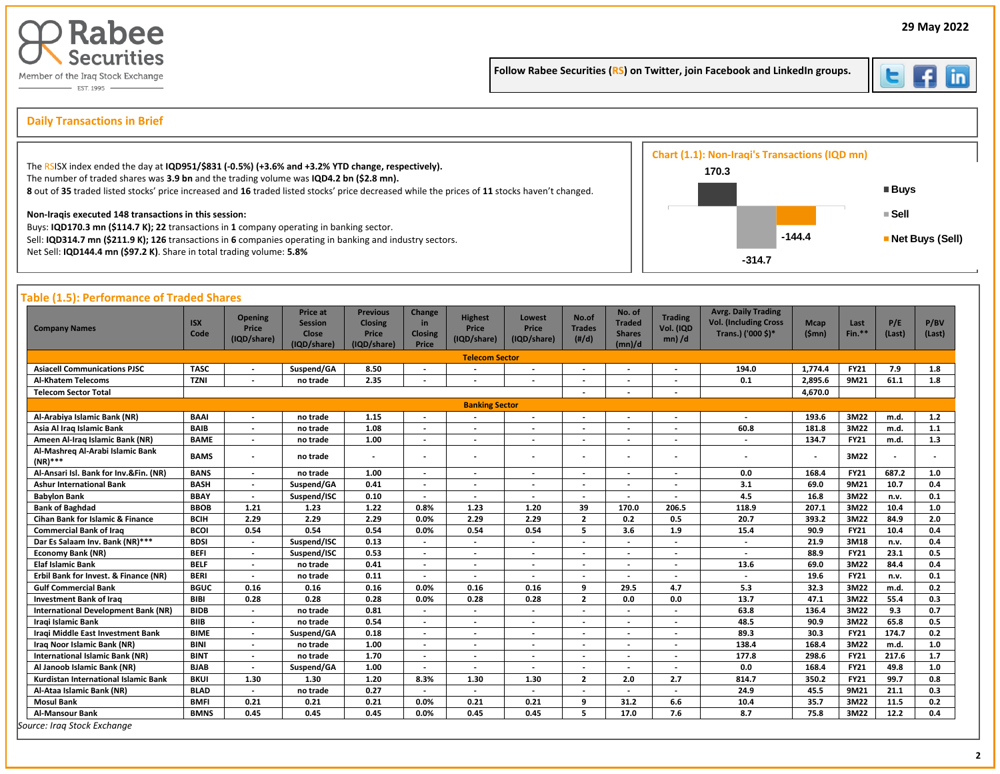

Follow Rabee Securities (RS) on Twitter, join Facebook and LinkedIn groups.



İ

# s **Daily Transactions in Brief**

| The RSISX index ended the day at IQD951/\$831 (-0.5%) (+3.6% and +3.2% YTD change, respectively).<br>The number of traded shares was 3.9 bn and the trading volume was IQD4.2 bn (\$2.8 mn). | 170.3 | Chart (1.1): Non-Iraqi's Transactions (IQD mn) |                   |
|----------------------------------------------------------------------------------------------------------------------------------------------------------------------------------------------|-------|------------------------------------------------|-------------------|
| 8 out of 35 traded listed stocks' price increased and 16 traded listed stocks' price decreased while the prices of 11 stocks haven't changed.                                                |       |                                                | ■ Buys            |
| Non-Iragis executed 148 transactions in this session:<br>Buys: IQD170.3 mn (\$114.7 K); 22 transactions in 1 company operating in banking sector.                                            |       |                                                | ≡ Sell            |
| Sell: IQD314.7 mn (\$211.9 K); 126 transactions in 6 companies operating in banking and industry sectors.                                                                                    |       | $-144.4$                                       | ■ Net Buys (Sell) |
| Net Sell: IQD144.4 mn (\$97.2 K). Share in total trading volume: 5.8%                                                                                                                        |       | $-314.7$                                       |                   |

| <b>Company Names</b>                        | <b>ISX</b><br>Code | <b>Opening</b><br>Price<br>(IQD/share) | Price at<br><b>Session</b><br><b>Close</b><br>(IQD/share) | <b>Previous</b><br><b>Closing</b><br>Price<br>(IQD/share) | Change<br>in.<br><b>Closing</b><br>Price | <b>Highest</b><br>Price<br>(IQD/share) | Lowest<br>Price<br>(IQD/share) | No.of<br><b>Trades</b><br>$(\#/d)$ | No. of<br><b>Traded</b><br><b>Shares</b><br>(mn)/d | <b>Trading</b><br>Vol. (IQD<br>$mn)$ /d | <b>Avrg. Daily Trading</b><br><b>Vol. (Including Cross</b><br>Trans.) ('000 \$)* | <b>Mcap</b><br>(Smn) | Last<br>Fin.** | P/E<br>(Last) | P/BV<br>(Last) |
|---------------------------------------------|--------------------|----------------------------------------|-----------------------------------------------------------|-----------------------------------------------------------|------------------------------------------|----------------------------------------|--------------------------------|------------------------------------|----------------------------------------------------|-----------------------------------------|----------------------------------------------------------------------------------|----------------------|----------------|---------------|----------------|
|                                             |                    |                                        |                                                           |                                                           |                                          | <b>Telecom Sector</b>                  |                                |                                    |                                                    |                                         |                                                                                  |                      |                |               |                |
| <b>Asiacell Communications PJSC</b>         | <b>TASC</b>        | $\overline{\phantom{a}}$               | Suspend/GA                                                | 8.50                                                      | $\overline{\phantom{a}}$                 |                                        | $\overline{\phantom{a}}$       | $\overline{\phantom{a}}$           |                                                    | $\overline{\phantom{a}}$                | 194.0                                                                            | 1.774.4              | <b>FY21</b>    | 7.9           | 1.8            |
| <b>Al-Khatem Telecoms</b>                   | <b>TZNI</b>        | $\blacksquare$                         | no trade                                                  | 2.35                                                      | $\overline{\phantom{a}}$                 | $\blacksquare$                         | $\blacksquare$                 | $\overline{\phantom{a}}$           |                                                    | $\blacksquare$                          | 0.1                                                                              | 2.895.6              | 9M21           | 61.1          | 1.8            |
| <b>Telecom Sector Total</b>                 |                    |                                        |                                                           |                                                           |                                          |                                        |                                | $\overline{\phantom{a}}$           |                                                    | $\overline{\phantom{a}}$                |                                                                                  | 4,670.0              |                |               |                |
|                                             |                    |                                        |                                                           |                                                           |                                          | <b>Banking Sector</b>                  |                                |                                    |                                                    |                                         |                                                                                  |                      |                |               |                |
| Al-Arabiya Islamic Bank (NR)                | <b>BAAI</b>        | $\blacksquare$                         | no trade                                                  | 1.15                                                      |                                          | $\blacksquare$                         | $\blacksquare$                 | $\overline{\phantom{a}}$           |                                                    | $\blacksquare$                          | $\overline{\phantom{a}}$                                                         | 193.6                | 3M22           | m.d.          | 1.2            |
| Asia Al Iraq Islamic Bank                   | <b>BAIB</b>        | $\blacksquare$                         | no trade                                                  | 1.08                                                      | $\overline{\phantom{a}}$                 | $\blacksquare$                         | $\overline{\phantom{a}}$       | $\blacksquare$                     |                                                    | $\blacksquare$                          | 60.8                                                                             | 181.8                | 3M22           | m.d.          | 1.1            |
| Ameen Al-Iraq Islamic Bank (NR)             | <b>BAME</b>        | $\blacksquare$                         | no trade                                                  | 1.00                                                      | $\overline{\phantom{a}}$                 | $\overline{a}$                         | $\overline{a}$                 | $\overline{a}$                     |                                                    | ÷,                                      | $\blacksquare$                                                                   | 134.7                | <b>FY21</b>    | m.d.          | 1.3            |
| Al-Mashreg Al-Arabi Islamic Bank<br>(NR)*** | <b>BAMS</b>        | $\overline{\phantom{a}}$               | no trade                                                  |                                                           | $\blacksquare$                           | $\overline{a}$                         |                                | $\overline{\phantom{a}}$           |                                                    | $\overline{a}$                          | $\overline{\phantom{a}}$                                                         | $\overline{a}$       | 3M22           |               |                |
| Al-Ansari Isl. Bank for Inv.&Fin. (NR)      | <b>BANS</b>        | $\overline{\phantom{a}}$               | no trade                                                  | 1.00                                                      | $\overline{\phantom{a}}$                 | $\overline{\phantom{a}}$               | $\overline{\phantom{a}}$       | $\overline{\phantom{a}}$           | $\overline{\phantom{a}}$                           | $\overline{\phantom{a}}$                | 0.0                                                                              | 168.4                | <b>FY21</b>    | 687.2         | 1.0            |
| Ashur International Bank                    | <b>BASH</b>        | $\overline{\phantom{a}}$               | Suspend/GA                                                | 0.41                                                      |                                          |                                        | $\overline{\phantom{a}}$       | $\overline{\phantom{a}}$           |                                                    |                                         | 3.1                                                                              | 69.0                 | 9M21           | 10.7          | 0.4            |
| <b>Babylon Bank</b>                         | <b>BBAY</b>        | $\overline{\phantom{a}}$               | Suspend/ISC                                               | 0.10                                                      | $\blacksquare$                           | $\overline{a}$                         | $\overline{a}$                 | $\overline{a}$                     |                                                    |                                         | 4.5                                                                              | 16.8                 | 3M22           | n.v.          | 0.1            |
| <b>Bank of Baghdad</b>                      | <b>BBOB</b>        | 1.21                                   | 1.23                                                      | 1.22                                                      | 0.8%                                     | 1.23                                   | 1.20                           | 39                                 | 170.0                                              | 206.5                                   | 118.9                                                                            | 207.1                | 3M22           | 10.4          | 1.0            |
| <b>Cihan Bank for Islamic &amp; Finance</b> | <b>BCIH</b>        | 2.29                                   | 2.29                                                      | 2.29                                                      | 0.0%                                     | 2.29                                   | 2.29                           | $\overline{2}$                     | 0.2                                                | 0.5                                     | 20.7                                                                             | 393.2                | 3M22           | 84.9          | 2.0            |
| <b>Commercial Bank of Iraq</b>              | <b>BCOI</b>        | 0.54                                   | 0.54                                                      | 0.54                                                      | 0.0%                                     | 0.54                                   | 0.54                           | 5                                  | 3.6                                                | 1.9                                     | 15.4                                                                             | 90.9                 | <b>FY21</b>    | 10.4          | 0.4            |
| Dar Es Salaam Inv. Bank (NR)***             | <b>BDSI</b>        | $\overline{\phantom{a}}$               | Suspend/ISC                                               | 0.13                                                      | $\overline{\phantom{a}}$                 | $\overline{\phantom{a}}$               | $\overline{\phantom{a}}$       | $\overline{\phantom{a}}$           |                                                    | $\overline{\phantom{a}}$                | $\overline{\phantom{a}}$                                                         | 21.9                 | 3M18           | n.v.          | 0.4            |
| <b>Economy Bank (NR)</b>                    | <b>BEFI</b>        | $\overline{a}$                         | Suspend/ISC                                               | 0.53                                                      | $\overline{\phantom{a}}$                 | $\overline{\phantom{a}}$               | $\overline{\phantom{a}}$       | $\overline{\phantom{a}}$           |                                                    | $\overline{a}$                          | $\overline{\phantom{a}}$                                                         | 88.9                 | <b>FY21</b>    | 23.1          | 0.5            |
| <b>Elaf Islamic Bank</b>                    | <b>BELF</b>        | $\overline{\phantom{a}}$               | no trade                                                  | 0.41                                                      | $\overline{\phantom{a}}$                 | $\blacksquare$                         | $\overline{\phantom{a}}$       | $\overline{\phantom{a}}$           | $\overline{\phantom{a}}$                           | $\overline{\phantom{a}}$                | 13.6                                                                             | 69.0                 | 3M22           | 84.4          | 0.4            |
| Erbil Bank for Invest. & Finance (NR)       | <b>BERI</b>        | $\overline{\phantom{a}}$               | no trade                                                  | 0.11                                                      | $\overline{\phantom{a}}$                 |                                        |                                |                                    |                                                    |                                         |                                                                                  | 19.6                 | <b>FY21</b>    | n.v.          | 0.1            |
| <b>Gulf Commercial Bank</b>                 | <b>BGUC</b>        | 0.16                                   | 0.16                                                      | 0.16                                                      | 0.0%                                     | 0.16                                   | 0.16                           | 9                                  | 29.5                                               | 4.7                                     | 5.3                                                                              | 32.3                 | 3M22           | m.d.          | 0.2            |
| <b>Investment Bank of Iraq</b>              | <b>BIBI</b>        | 0.28                                   | 0.28                                                      | 0.28                                                      | 0.0%                                     | 0.28                                   | 0.28                           | $\overline{2}$                     | 0.0                                                | 0.0                                     | 13.7                                                                             | 47.1                 | 3M22           | 55.4          | 0.3            |
| International Development Bank (NR)         | <b>BIDB</b>        | $\overline{\phantom{a}}$               | no trade                                                  | 0.81                                                      |                                          |                                        | $\overline{\phantom{a}}$       |                                    |                                                    |                                         | 63.8                                                                             | 136.4                | 3M22           | 9.3           | 0.7            |
| <b>Iragi Islamic Bank</b>                   | <b>BIIB</b>        | $\overline{a}$                         | no trade                                                  | 0.54                                                      |                                          | $\overline{\phantom{a}}$               | $\overline{a}$                 | $\overline{a}$                     |                                                    |                                         | 48.5                                                                             | 90.9                 | 3M22           | 65.8          | 0.5            |
| Iraqi Middle East Investment Bank           | <b>BIME</b>        | $\overline{\phantom{a}}$               | Suspend/GA                                                | 0.18                                                      |                                          | $\blacksquare$                         | $\overline{\phantom{a}}$       | $\overline{a}$                     |                                                    | $\overline{a}$                          | 89.3                                                                             | 30.3                 | <b>FY21</b>    | 174.7         | 0.2            |
| Iraq Noor Islamic Bank (NR)                 | <b>BINI</b>        | $\overline{\phantom{a}}$               | no trade                                                  | 1.00                                                      | $\overline{\phantom{a}}$                 | $\blacksquare$                         | $\blacksquare$                 | $\overline{\phantom{a}}$           | $\overline{\phantom{a}}$                           | $\overline{\phantom{a}}$                | 138.4                                                                            | 168.4                | 3M22           | m.d.          | 1.0            |
| <b>International Islamic Bank (NR)</b>      | <b>BINT</b>        | $\overline{\phantom{a}}$               | no trade                                                  | 1.70                                                      | $\overline{\phantom{a}}$                 | $\overline{\phantom{a}}$               | $\overline{\phantom{a}}$       | $\overline{a}$                     |                                                    | $\overline{a}$                          | 177.8                                                                            | 298.6                | <b>FY21</b>    | 217.6         | 1.7            |
| Al Janoob Islamic Bank (NR)                 | <b>BJAB</b>        | $\overline{\phantom{a}}$               | Suspend/GA                                                | 1.00                                                      | $\overline{\phantom{a}}$                 | $\blacksquare$                         | $\overline{\phantom{a}}$       | $\overline{\phantom{a}}$           | $\overline{\phantom{a}}$                           | $\overline{\phantom{a}}$                | 0.0                                                                              | 168.4                | <b>FY21</b>    | 49.8          | 1.0            |
| Kurdistan International Islamic Bank        | <b>BKUI</b>        | 1.30                                   | 1.30                                                      | 1.20                                                      | 8.3%                                     | 1.30                                   | 1.30                           | $\overline{2}$                     | 2.0                                                | 2.7                                     | 814.7                                                                            | 350.2                | <b>FY21</b>    | 99.7          | 0.8            |
| Al-Ataa Islamic Bank (NR)                   | <b>BLAD</b>        | $\overline{\phantom{a}}$               | no trade                                                  | 0.27                                                      | $\overline{\phantom{a}}$                 | $\overline{\phantom{a}}$               | $\blacksquare$                 | $\overline{\phantom{a}}$           |                                                    | $\blacksquare$                          | 24.9                                                                             | 45.5                 | 9M21           | 21.1          | 0.3            |
| <b>Mosul Bank</b>                           | <b>BMFI</b>        | 0.21                                   | 0.21                                                      | 0.21                                                      | 0.0%                                     | 0.21                                   | 0.21                           | 9                                  | 31.2                                               | 6.6                                     | 10.4                                                                             | 35.7                 | 3M22           | 11.5          | 0.2            |
| <b>Al-Mansour Bank</b>                      | <b>BMNS</b>        | 0.45                                   | 0.45                                                      | 0.45                                                      | 0.0%                                     | 0.45                                   | 0.45                           | 5                                  | 17.0                                               | 7.6                                     | 8.7                                                                              | 75.8                 | 3M22           | 12.2          | 0.4            |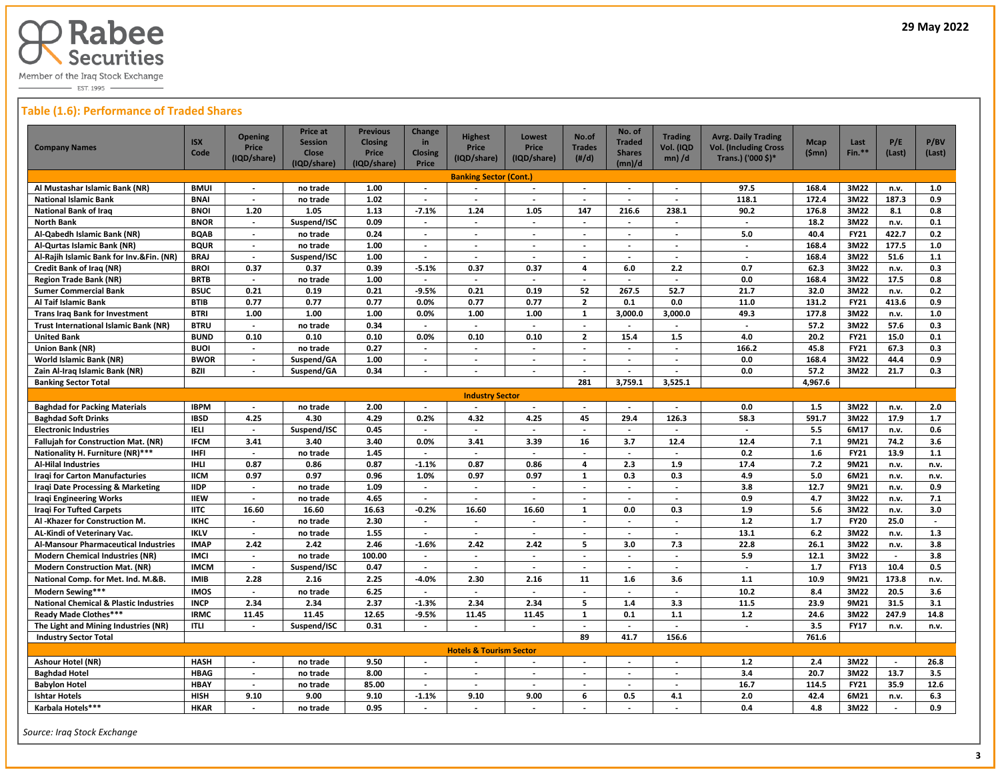

 $-$  EST. 1995  $-$ 

# **Table (1.6): Performance of Traded Shares**

| <b>Company Names</b>                              | <b>ISX</b>             | <b>Opening</b><br>Price  | <b>Price at</b><br><b>Session</b> | <b>Previous</b><br><b>Closing</b> | Change<br>in             | <b>Highest</b><br>Price            | <b>Lowest</b><br>Price   | No.of<br><b>Trades</b>   | No. of<br><b>Traded</b>  | <b>Trading</b><br>Vol. (IQD | <b>Avrg. Daily Trading</b><br><b>Vol. (Including Cross</b> | <b>Mcap</b> | Last<br>$Fin.**$ | P/E                      | P/BV   |
|---------------------------------------------------|------------------------|--------------------------|-----------------------------------|-----------------------------------|--------------------------|------------------------------------|--------------------------|--------------------------|--------------------------|-----------------------------|------------------------------------------------------------|-------------|------------------|--------------------------|--------|
|                                                   | Code                   | (IQD/share)              | <b>Close</b><br>(IQD/share)       | <b>Price</b><br>(IQD/share)       | <b>Closing</b><br>Price  | (IQD/share)                        | (IQD/share)              | $(\#/d)$                 | <b>Shares</b><br>(mn)/d  | $mn)$ /d                    | Trans.) ('000 \$)*                                         | (Smn)       |                  | (Last)                   | (Last) |
|                                                   |                        |                          |                                   |                                   |                          |                                    |                          |                          |                          |                             |                                                            |             |                  |                          |        |
| Al Mustashar Islamic Bank (NR)                    | <b>BMUI</b>            |                          | no trade                          | 1.00                              | $\overline{\phantom{a}}$ | <b>Banking Sector (Cont.)</b>      |                          |                          |                          | $\overline{\phantom{a}}$    | 97.5                                                       | 168.4       | 3M22             | n.v.                     | 1.0    |
| <b>National Islamic Bank</b>                      | <b>BNAI</b>            | $\overline{\phantom{a}}$ | no trade                          | 1.02                              | $\overline{\phantom{a}}$ |                                    | $\overline{a}$           |                          |                          | $\overline{\phantom{a}}$    | 118.1                                                      | 172.4       | 3M22             | 187.3                    | 0.9    |
| <b>National Bank of Iraq</b>                      | <b>BNOI</b>            | 1.20                     | 1.05                              | 1.13                              | $-7.1%$                  | 1.24                               | 1.05                     | 147                      | 216.6                    | 238.1                       | 90.2                                                       | 176.8       | 3M22             | 8.1                      | 0.8    |
| North Bank                                        | <b>BNOR</b>            | $\overline{\phantom{a}}$ | Suspend/ISC                       | 0.09                              | $\sim$                   | $\overline{\phantom{a}}$           | $\overline{\phantom{a}}$ | $\overline{\phantom{a}}$ | $\overline{\phantom{a}}$ | $\overline{\phantom{a}}$    | $\sim$                                                     | 18.2        | 3M22             | n.v.                     | 0.1    |
| Al-Qabedh Islamic Bank (NR)                       | <b>BQAB</b>            | $\overline{\phantom{a}}$ | no trade                          | 0.24                              | $\blacksquare$           | $\blacksquare$                     | $\overline{\phantom{a}}$ | $\overline{\phantom{a}}$ | $\sim$                   | $\overline{\phantom{a}}$    | 5.0                                                        | 40.4        | <b>FY21</b>      | 422.7                    | 0.2    |
| Al-Qurtas Islamic Bank (NR)                       | <b>BQUR</b>            | $\overline{\phantom{a}}$ | no trade                          | 1.00                              | $\overline{\phantom{a}}$ | $\overline{\phantom{a}}$           | $\overline{\phantom{a}}$ | $\overline{\phantom{a}}$ | $\overline{\phantom{a}}$ | $\overline{\phantom{a}}$    | $\sim$                                                     | 168.4       | 3M22             | 177.5                    | 1.0    |
| Al-Rajih Islamic Bank for Inv.&Fin. (NR)          | <b>BRAJ</b>            | $\overline{\phantom{a}}$ | Suspend/ISC                       | 1.00                              | $\overline{\phantom{a}}$ | $\overline{\phantom{a}}$           | $\overline{\phantom{a}}$ | $\overline{\phantom{a}}$ | $\overline{\phantom{a}}$ | $\overline{\phantom{a}}$    | $\overline{\phantom{a}}$                                   | 168.4       | 3M22             | 51.6                     | $1.1$  |
| Credit Bank of Iraq (NR)                          | <b>BROI</b>            | 0.37                     | 0.37                              | 0.39                              | $-5.1%$                  | 0.37                               | 0.37                     | $\overline{4}$           | 6.0                      | 2.2                         | 0.7                                                        | 62.3        | 3M22             | n.v.                     | 0.3    |
| <b>Region Trade Bank (NR)</b>                     | <b>BRTB</b>            | $\blacksquare$           | no trade                          | 1.00                              | $\blacksquare$           | $\overline{\phantom{a}}$           | $\overline{\phantom{a}}$ | $\overline{\phantom{a}}$ | $\blacksquare$           | $\blacksquare$              | 0.0                                                        | 168.4       | 3M22             | 17.5                     | 0.8    |
| <b>Sumer Commercial Bank</b>                      | <b>BSUC</b>            | 0.21                     | 0.19                              | 0.21                              | $-9.5%$                  | 0.21                               | 0.19                     | 52                       | 267.5                    | 52.7                        | 21.7                                                       | 32.0        | 3M22             | n.v.                     | 0.2    |
| Al Taif Islamic Bank                              | <b>BTIB</b>            | 0.77                     | 0.77                              | 0.77                              | 0.0%                     | 0.77                               | 0.77                     | $\overline{2}$           | 0.1                      | 0.0                         | 11.0                                                       | 131.2       | <b>FY21</b>      | 413.6                    | 0.9    |
| <b>Trans Irag Bank for Investment</b>             | <b>BTRI</b>            | 1.00                     | 1.00                              | 1.00                              | 0.0%                     | 1.00                               | 1.00                     | $\mathbf{1}$             | 3,000.0                  | 3,000.0                     | 49.3                                                       | 177.8       | 3M22             | n.v.                     | 1.0    |
| Trust International Islamic Bank (NR)             | <b>BTRU</b>            | $\overline{\phantom{a}}$ | no trade                          | 0.34                              | $\overline{\phantom{a}}$ | $\overline{\phantom{a}}$           | $\overline{a}$           | $\overline{\phantom{a}}$ | $\overline{\phantom{a}}$ | $\overline{\phantom{a}}$    | $\overline{\phantom{a}}$                                   | 57.2        | 3M22             | 57.6                     | 0.3    |
| <b>United Bank</b>                                | <b>BUND</b>            | 0.10                     | 0.10                              | 0.10                              | 0.0%                     | 0.10                               | 0.10                     | $\overline{2}$           | 15.4                     | 1.5                         | 4.0                                                        | 20.2        | <b>FY21</b>      | 15.0                     | 0.1    |
| Union Bank (NR)                                   | <b>BUOI</b>            | $\overline{\phantom{a}}$ | no trade                          | 0.27                              | $\overline{\phantom{a}}$ | $\overline{\phantom{a}}$           | $\overline{\phantom{a}}$ | $\overline{\phantom{a}}$ | $\overline{\phantom{a}}$ | $\overline{\phantom{a}}$    | 166.2                                                      | 45.8        | <b>FY21</b>      | 67.3                     | 0.3    |
| World Islamic Bank (NR)                           | <b>BWOR</b>            | $\overline{\phantom{a}}$ | Suspend/GA                        | 1.00                              | $\overline{\phantom{a}}$ | $\overline{\phantom{a}}$           | $\overline{\phantom{a}}$ | $\blacksquare$           | $\sim$                   | $\overline{\phantom{a}}$    | 0.0                                                        | 168.4       | 3M22             | 44.4                     | 0.9    |
| Zain Al-Iraq Islamic Bank (NR)                    | <b>BZII</b>            | $\overline{\phantom{a}}$ | Suspend/GA                        | 0.34                              | $\overline{\phantom{a}}$ | $\overline{\phantom{a}}$           | $\overline{\phantom{a}}$ |                          |                          |                             | 0.0                                                        | 57.2        | 3M22             | 21.7                     | 0.3    |
| <b>Banking Sector Total</b>                       |                        |                          |                                   |                                   |                          |                                    |                          | 281                      | 3,759.1                  | 3,525.1                     |                                                            | 4,967.6     |                  |                          |        |
|                                                   | <b>Industry Sector</b> |                          |                                   |                                   |                          |                                    |                          |                          |                          |                             |                                                            |             |                  |                          |        |
| <b>Baghdad for Packing Materials</b>              | <b>IBPM</b>            | $\overline{\phantom{a}}$ | no trade                          | 2.00                              | $\overline{\phantom{a}}$ | $\overline{\phantom{a}}$           | $\overline{\phantom{a}}$ | $\overline{\phantom{a}}$ | $\overline{\phantom{a}}$ | $\overline{\phantom{a}}$    | 0.0                                                        | 1.5         | 3M22             | n.v.                     | 2.0    |
| <b>Baghdad Soft Drinks</b>                        | <b>IBSD</b>            | 4.25                     | 4.30                              | 4.29                              | 0.2%                     | 4.32                               | 4.25                     | 45                       | 29.4                     | 126.3                       | 58.3                                                       | 591.7       | 3M22             | 17.9                     | 1.7    |
| <b>Electronic Industries</b>                      | <b>IELI</b>            | $\overline{\phantom{a}}$ | Suspend/ISC                       | 0.45                              | $\overline{\phantom{a}}$ | $\overline{\phantom{a}}$           | $\overline{\phantom{a}}$ | $\blacksquare$           | $\sim$                   | $\overline{\phantom{a}}$    | $\overline{\phantom{a}}$                                   | 5.5         | 6M17             | n.v.                     | 0.6    |
| <b>Fallujah for Construction Mat. (NR)</b>        | <b>IFCM</b>            | 3.41                     | 3.40                              | 3.40                              | 0.0%                     | 3.41                               | 3.39                     | 16                       | 3.7                      | 12.4                        | 12.4                                                       | 7.1         | 9M21             | 74.2                     | 3.6    |
| Nationality H. Furniture (NR)***                  | <b>IHFI</b>            | $\overline{\phantom{a}}$ | no trade                          | 1.45                              |                          | $\overline{a}$                     | $\overline{\phantom{a}}$ |                          | $\overline{\phantom{a}}$ |                             | 0.2                                                        | 1.6         | <b>FY21</b>      | 13.9                     | $1.1$  |
| Al-Hilal Industries                               | IIILI                  | 0.87                     | 0.86                              | 0.87                              | $-1.1%$                  | 0.87                               | 0.86                     | $\overline{4}$           | 2.3                      | 1.9                         | 17.4                                                       | 7.2         | 9M21             | n.v.                     | n.v.   |
| Iragi for Carton Manufacturies                    | <b>IICM</b>            | 0.97                     | 0.97                              | 0.96                              | 1.0%                     | 0.97                               | 0.97                     | 1                        | 0.3                      | 0.3                         | 4.9                                                        | 5.0         | 6M21             | n.v.                     | n.v.   |
| Iraqi Date Processing & Marketing                 | <b>IIDP</b>            | $\overline{\phantom{a}}$ | no trade                          | 1.09                              | $\overline{\phantom{a}}$ | $\blacksquare$                     | $\blacksquare$           | ÷,                       | $\overline{\phantom{a}}$ | $\overline{\phantom{a}}$    | 3.8                                                        | 12.7        | 9M21             | n.v.                     | 0.9    |
| Iraqi Engineering Works                           | <b>IIEW</b>            | $\overline{\phantom{a}}$ | no trade                          | 4.65                              | $\overline{\phantom{a}}$ | $\overline{\phantom{a}}$           | $\overline{\phantom{a}}$ | $\overline{\phantom{a}}$ | $\overline{\phantom{a}}$ | $\overline{\phantom{a}}$    | 0.9                                                        | 4.7         | 3M22             | n.v.                     | 7.1    |
| <b>Iraqi For Tufted Carpets</b>                   | <b>IITC</b>            | 16.60                    | 16.60                             | 16.63                             | $-0.2%$                  | 16.60                              | 16.60                    | $\mathbf{1}$             | 0.0                      | 0.3                         | 1.9                                                        | 5.6         | 3M22             | n.v.                     | 3.0    |
| Al-Khazer for Construction M.                     | <b>IKHC</b>            | $\overline{\phantom{a}}$ | no trade                          | 2.30                              | $\overline{\phantom{a}}$ | $\overline{\phantom{a}}$           | $\overline{\phantom{a}}$ |                          | $\sim$                   | $\overline{\phantom{a}}$    | $1.2$                                                      | 1.7         | <b>FY20</b>      | 25.0                     |        |
| AL-Kindi of Veterinary Vac.                       | <b>IKLV</b>            | $\blacksquare$           | no trade                          | 1.55                              | $\overline{\phantom{a}}$ | $\blacksquare$                     |                          |                          |                          | $\overline{\phantom{a}}$    | 13.1                                                       | $6.2$       | 3M22             | n.v.                     | 1.3    |
| Al-Mansour Pharmaceutical Industries              | <b>IMAP</b>            | 2.42                     | 2.42                              | 2.46                              | $-1.6%$                  | 2.42                               | 2.42                     | 5                        | 3.0                      | 7.3                         | 22.8                                                       | 26.1        | 3M22             | n.v.                     | 3.8    |
| <b>Modern Chemical Industries (NR)</b>            | <b>IMCI</b>            | $\blacksquare$           | no trade                          | 100.00                            | $\overline{a}$           | $\blacksquare$                     | $\overline{\phantom{a}}$ | $\overline{\phantom{a}}$ | $\overline{\phantom{a}}$ | $\overline{\phantom{a}}$    | 5.9                                                        | 12.1        | 3M22             | $\sim$                   | 3.8    |
| <b>Modern Construction Mat. (NR)</b>              | <b>IMCM</b>            | $\sim$                   | Suspend/ISC                       | 0.47                              | $\sim$                   | $\overline{\phantom{a}}$           | $\overline{\phantom{a}}$ | $\overline{\phantom{a}}$ | $\mathcal{L}$            | $\overline{\phantom{a}}$    | $\sim$                                                     | 1.7         | <b>FY13</b>      | 10.4                     | 0.5    |
| National Comp. for Met. Ind. M.&B.                | <b>IMIB</b>            | 2.28                     | 2.16                              | 2.25                              | $-4.0%$                  | 2.30                               | 2.16                     | 11                       | 1.6                      | 3.6                         | $1.1$                                                      | 10.9        | 9M21             | 173.8                    | n.v.   |
| Modern Sewing***                                  | <b>IMOS</b>            | $\overline{\phantom{a}}$ | no trade                          | 6.25                              | $\sim$                   | $\overline{a}$                     | $\overline{a}$           | $\overline{a}$           | $\overline{\phantom{a}}$ |                             | 10.2                                                       | 8.4         | 3M22             | 20.5                     | 3.6    |
| <b>National Chemical &amp; Plastic Industries</b> | <b>INCP</b>            | 2.34                     | 2.34                              | 2.37                              | $-1.3%$                  | 2.34                               | 2.34                     | 5                        | 1.4                      | 3.3                         | 11.5                                                       | 23.9        | 9M21             | 31.5                     | 3.1    |
| Ready Made Clothes***                             | <b>IRMC</b>            | 11.45                    | 11.45                             | 12.65                             | $-9.5%$                  | 11.45                              | 11.45                    | $\mathbf{1}$             | 0.1                      | 1.1                         | $1.2$                                                      | 24.6        | 3M22             | 247.9                    | 14.8   |
| The Light and Mining Industries (NR)              | <b>ITLI</b>            | $\overline{\phantom{a}}$ | Suspend/ISC                       | 0.31                              | $\overline{\phantom{a}}$ | $\overline{\phantom{a}}$           | $\overline{a}$           | $\overline{\phantom{a}}$ | $\overline{\phantom{a}}$ | $\overline{\phantom{a}}$    | $\overline{\phantom{a}}$                                   | 3.5         | <b>FY17</b>      | n.v.                     | n.v.   |
| <b>Industry Sector Total</b>                      |                        |                          |                                   |                                   |                          |                                    |                          | 89                       | 41.7                     | 156.6                       |                                                            | 761.6       |                  |                          |        |
|                                                   |                        |                          |                                   |                                   |                          | <b>Hotels &amp; Tourism Sector</b> |                          |                          |                          |                             |                                                            |             |                  |                          |        |
| Ashour Hotel (NR)                                 | <b>HASH</b>            | $\blacksquare$           | no trade                          | 9.50                              | $\sim$                   | $\overline{a}$                     | $\overline{a}$           | $\sim$                   | $\sim$                   | $\overline{a}$              | $1.2$                                                      | 2.4         | 3M22             | $\overline{\phantom{a}}$ | 26.8   |
| <b>Baghdad Hotel</b>                              | <b>HBAG</b>            | $\overline{\phantom{a}}$ | no trade                          | 8.00                              | $\overline{\phantom{a}}$ | $\overline{\phantom{a}}$           | $\overline{\phantom{a}}$ | $\overline{\phantom{a}}$ | $\overline{\phantom{a}}$ | $\overline{\phantom{a}}$    | 3.4                                                        | 20.7        | 3M22             | 13.7                     | 3.5    |
| <b>Babylon Hotel</b>                              | <b>HBAY</b>            | $\overline{\phantom{a}}$ | no trade                          | 85.00                             | $\overline{\phantom{a}}$ | $\overline{\phantom{a}}$           | $\overline{\phantom{a}}$ | $\overline{\phantom{a}}$ | $\overline{\phantom{a}}$ | $\overline{\phantom{a}}$    | 16.7                                                       | 114.5       | <b>FY21</b>      | 35.9                     | 12.6   |
| <b>Ishtar Hotels</b>                              | <b>HISH</b>            | 9.10                     | 9.00                              | 9.10                              | $-1.1%$                  | 9.10                               | 9.00                     | 6                        | 0.5                      | 4.1                         | 2.0                                                        | 42.4        | 6M21             | n.v.                     | 6.3    |
| Karbala Hotels***                                 | <b>HKAR</b>            |                          | no trade                          | 0.95                              |                          | $\blacksquare$                     | $\overline{\phantom{a}}$ |                          |                          | $\overline{\phantom{a}}$    | 0.4                                                        | 4.8         | 3M22             |                          | 0.9    |

 *Source: Iraq Stock Exchange*

 $\overline{a}$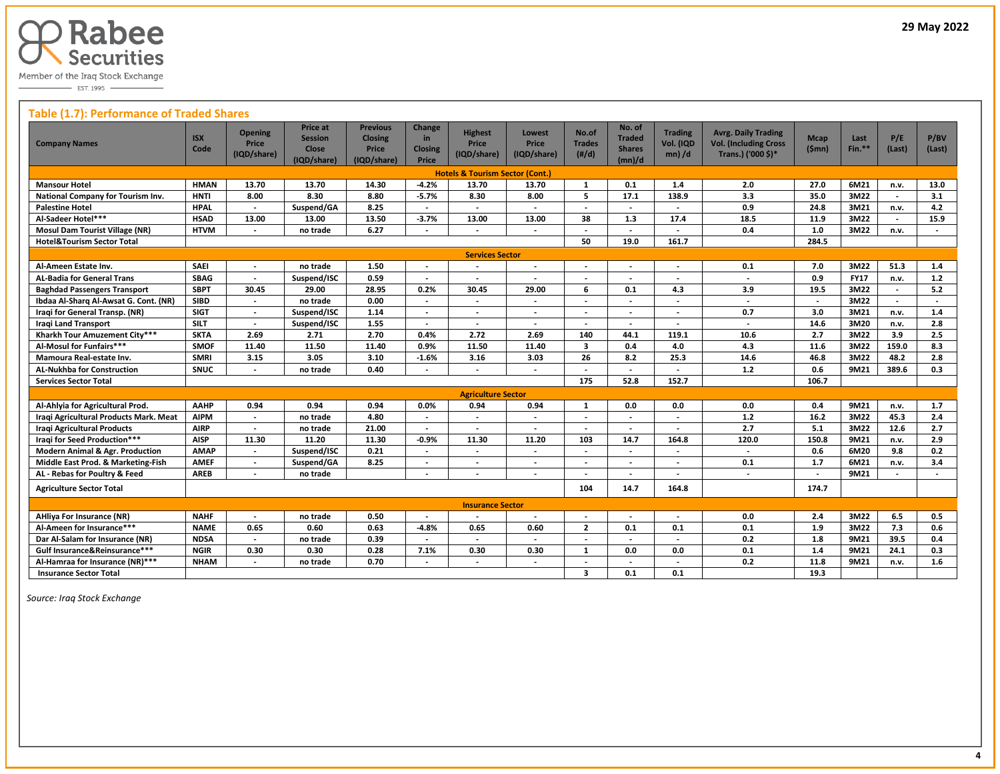

 $\overline{\phantom{0}}$  EST. 1995

# **Table (1.7): Performance of Traded Shares**

| <b>Company Names</b>                       | <b>ISX</b><br>Code | <b>Opening</b><br>Price<br>(IQD/share) | Price at<br><b>Session</b><br>Close<br>(IQD/share) | <b>Previous</b><br><b>Closing</b><br>Price<br>(IQD/share) | Change<br>in.<br><b>Closing</b><br>Price | <b>Highest</b><br><b>Price</b><br>(IQD/share) | Lowest<br><b>Price</b><br>(IQD/share) | No.of<br><b>Trades</b><br>(H/d) | No. of<br><b>Traded</b><br><b>Shares</b><br>(mn)/d | <b>Trading</b><br>Vol. (IQD<br>$mn)$ /d | <b>Avrg. Daily Trading</b><br><b>Vol. (Including Cross</b><br>Trans.) ('000 \$)* | <b>Mcap</b><br>(Smn)     | Last<br>$Fin.**$ | P/E<br>(Last)            | P/BV<br>(Last)           |
|--------------------------------------------|--------------------|----------------------------------------|----------------------------------------------------|-----------------------------------------------------------|------------------------------------------|-----------------------------------------------|---------------------------------------|---------------------------------|----------------------------------------------------|-----------------------------------------|----------------------------------------------------------------------------------|--------------------------|------------------|--------------------------|--------------------------|
|                                            |                    |                                        |                                                    |                                                           |                                          | <b>Hotels &amp; Tourism Sector (Cont.)</b>    |                                       |                                 |                                                    |                                         |                                                                                  |                          |                  |                          |                          |
| <b>Mansour Hotel</b>                       | <b>HMAN</b>        | 13.70                                  | 13.70                                              | 14.30                                                     | $-4.2%$                                  | 13.70                                         | 13.70                                 | $\mathbf{1}$                    | 0.1                                                | 1.4                                     | 2.0                                                                              | 27.0                     | 6M21             | n.v.                     | 13.0                     |
| National Company for Tourism Inv.          | <b>HNTI</b>        | 8.00                                   | 8.30                                               | 8.80                                                      | $-5.7%$                                  | 8.30                                          | 8.00                                  | 5                               | 17.1                                               | 138.9                                   | 3.3                                                                              | 35.0                     | 3M22             | $\blacksquare$           | 3.1                      |
| <b>Palestine Hotel</b>                     | <b>HPAL</b>        | $\overline{\phantom{a}}$               | Suspend/GA                                         | 8.25                                                      | $\overline{\phantom{a}}$                 | $\overline{\phantom{a}}$                      | $\overline{\phantom{a}}$              | $\overline{\phantom{a}}$        | $\overline{\phantom{a}}$                           | $\overline{\phantom{a}}$                | 0.9                                                                              | 24.8                     | 3M21             | n.v.                     | 4.2                      |
| Al-Sadeer Hotel***                         | <b>HSAD</b>        | 13.00                                  | 13.00                                              | 13.50                                                     | $-3.7%$                                  | 13.00                                         | 13.00                                 | 38                              | 1.3                                                | 17.4                                    | 18.5                                                                             | 11.9                     | 3M22             |                          | 15.9                     |
| <b>Mosul Dam Tourist Village (NR)</b>      | <b>HTVM</b>        |                                        | no trade                                           | 6.27                                                      |                                          |                                               |                                       |                                 | $\overline{\phantom{a}}$                           |                                         | 0.4                                                                              | 1.0                      | 3M22             | n.v.                     |                          |
| <b>Hotel&amp;Tourism Sector Total</b>      |                    |                                        |                                                    |                                                           |                                          |                                               |                                       | 50                              | 19.0                                               | 161.7                                   |                                                                                  | 284.5                    |                  |                          |                          |
| <b>Services Sector</b>                     |                    |                                        |                                                    |                                                           |                                          |                                               |                                       |                                 |                                                    |                                         |                                                                                  |                          |                  |                          |                          |
| Al-Ameen Estate Inv.                       | <b>SAEI</b>        | $\overline{\phantom{a}}$               | no trade                                           | 1.50                                                      | $\overline{\phantom{a}}$                 |                                               | $\overline{\phantom{a}}$              | $\overline{\phantom{a}}$        | $\overline{\phantom{a}}$                           | $\overline{\phantom{a}}$                | 0.1                                                                              | 7.0                      | 3M22             | 51.3                     | 1.4                      |
| <b>AL-Badia for General Trans</b>          | <b>SBAG</b>        | $\overline{\phantom{a}}$               | Suspend/ISC                                        | 0.59                                                      |                                          |                                               |                                       |                                 |                                                    |                                         | $\overline{a}$                                                                   | 0.9                      | <b>FY17</b>      | n.v.                     | $1.2$                    |
| <b>Baghdad Passengers Transport</b>        | <b>SBPT</b>        | 30.45                                  | 29.00                                              | 28.95                                                     | 0.2%                                     | 30.45                                         | 29.00                                 | 6                               | 0.1                                                | 4.3                                     | 3.9                                                                              | 19.5                     | 3M22             |                          | 5.2                      |
| Ibdaa Al-Sharq Al-Awsat G. Cont. (NR)      | <b>SIBD</b>        | $\overline{\phantom{a}}$               | no trade                                           | 0.00                                                      |                                          |                                               | $\overline{a}$                        |                                 | $\overline{\phantom{a}}$                           | $\overline{\phantom{a}}$                | $\overline{\phantom{a}}$                                                         | $\overline{\phantom{a}}$ | 3M22             | $\overline{\phantom{a}}$ | $\overline{\phantom{a}}$ |
| Iraqi for General Transp. (NR)             | <b>SIGT</b>        | $\overline{\phantom{a}}$               | Suspend/ISC                                        | 1.14                                                      | $\overline{\phantom{a}}$                 | $\overline{\phantom{a}}$                      | $\overline{\phantom{a}}$              | $\overline{\phantom{a}}$        | $\overline{\phantom{a}}$                           | $\overline{\phantom{a}}$                | 0.7                                                                              | 3.0                      | 3M21             | n.v.                     | 1.4                      |
| <b>Iragi Land Transport</b>                | <b>SILT</b>        | $\overline{\phantom{a}}$               | Suspend/ISC                                        | 1.55                                                      |                                          |                                               | $\overline{\phantom{a}}$              | $\overline{\phantom{a}}$        |                                                    |                                         | $\blacksquare$                                                                   | 14.6                     | 3M20             | n.v.                     | 2.8                      |
| Kharkh Tour Amuzement City***              | <b>SKTA</b>        | 2.69                                   | 2.71                                               | 2.70                                                      | 0.4%                                     | 2.72                                          | 2.69                                  | 140                             | 44.1                                               | 119.1                                   | 10.6                                                                             | 2.7                      | 3M22             | 3.9                      | 2.5                      |
| Al-Mosul for Funfairs***                   | <b>SMOF</b>        | 11.40                                  | 11.50                                              | 11.40                                                     | 0.9%                                     | 11.50                                         | 11.40                                 | $\overline{\mathbf{3}}$         | 0.4                                                | 4.0                                     | 4.3                                                                              | 11.6                     | 3M22             | 159.0                    | 8.3                      |
| Mamoura Real-estate Inv.                   | <b>SMRI</b>        | 3.15                                   | 3.05                                               | 3.10                                                      | $-1.6%$                                  | 3.16                                          | 3.03                                  | 26                              | 8.2                                                | 25.3                                    | 14.6                                                                             | 46.8                     | 3M22             | 48.2                     | 2.8                      |
| <b>AL-Nukhba for Construction</b>          | <b>SNUC</b>        | $\overline{\phantom{a}}$               | no trade                                           | 0.40                                                      |                                          |                                               | $\overline{a}$                        |                                 | $\overline{a}$                                     | $\overline{a}$                          | $1.2$                                                                            | 0.6                      | 9M21             | 389.6                    | 0.3                      |
| <b>Services Sector Total</b>               |                    |                                        |                                                    |                                                           |                                          |                                               |                                       | 175                             | 52.8                                               | 152.7                                   |                                                                                  | 106.7                    |                  |                          |                          |
|                                            |                    |                                        |                                                    |                                                           |                                          | <b>Agriculture Sector</b>                     |                                       |                                 |                                                    |                                         |                                                                                  |                          |                  |                          |                          |
| Al-Ahlyia for Agricultural Prod.           | AAHP               | 0.94                                   | 0.94                                               | 0.94                                                      | 0.0%                                     | 0.94                                          | 0.94                                  | $\mathbf{1}$                    | 0.0                                                | 0.0                                     | 0.0                                                                              | 0.4                      | 9M21             | n.v.                     | 1.7                      |
| Iraqi Agricultural Products Mark. Meat     | <b>AIPM</b>        | $\overline{\phantom{a}}$               | no trade                                           | 4.80                                                      |                                          |                                               | $\overline{\phantom{a}}$              |                                 | $\overline{\phantom{a}}$                           |                                         | 1.2                                                                              | 16.2                     | 3M22             | 45.3                     | 2.4                      |
| <b>Iragi Agricultural Products</b>         | <b>AIRP</b>        | $\overline{\phantom{a}}$               | no trade                                           | 21.00                                                     |                                          |                                               |                                       | $\overline{\phantom{a}}$        | $\overline{\phantom{a}}$                           |                                         | $\overline{2.7}$                                                                 | 5.1                      | 3M22             | 12.6                     | 2.7                      |
| Iraqi for Seed Production***               | <b>AISP</b>        | 11.30                                  | 11.20                                              | 11.30                                                     | $-0.9%$                                  | 11.30                                         | 11.20                                 | 103                             | 14.7                                               | 164.8                                   | 120.0                                                                            | 150.8                    | 9M21             | n.v.                     | 2.9                      |
| <b>Modern Animal &amp; Agr. Production</b> | <b>AMAP</b>        |                                        | Suspend/ISC                                        | 0.21                                                      |                                          |                                               |                                       |                                 |                                                    |                                         | $\overline{\phantom{a}}$                                                         | 0.6                      | 6M20             | 9.8                      | 0.2                      |
| Middle East Prod. & Marketing-Fish         | <b>AMEF</b>        |                                        | Suspend/GA                                         | 8.25                                                      |                                          |                                               |                                       |                                 |                                                    |                                         | 0.1                                                                              | 1.7                      | 6M21             | n.v.                     | 3.4                      |
| AL - Rebas for Poultry & Feed              | <b>AREB</b>        | $\overline{\phantom{a}}$               | no trade                                           |                                                           | $\overline{\phantom{0}}$                 |                                               | $\overline{\phantom{a}}$              |                                 | $\overline{\phantom{a}}$                           |                                         | $\overline{\phantom{a}}$                                                         | $\overline{\phantom{a}}$ | 9M21             |                          |                          |
| <b>Agriculture Sector Total</b>            |                    |                                        |                                                    |                                                           |                                          |                                               |                                       | 104                             | 14.7                                               | 164.8                                   |                                                                                  | 174.7                    |                  |                          |                          |
|                                            |                    |                                        |                                                    |                                                           |                                          | <b>Insurance Sector</b>                       |                                       |                                 |                                                    |                                         |                                                                                  |                          |                  |                          |                          |
| <b>AHliya For Insurance (NR)</b>           | <b>NAHF</b>        | $\overline{\phantom{a}}$               | no trade                                           | 0.50                                                      | $\overline{\phantom{a}}$                 |                                               | $\overline{\phantom{a}}$              | $\overline{\phantom{a}}$        | $\overline{\phantom{a}}$                           |                                         | 0.0                                                                              | 2.4                      | 3M22             | 6.5                      | 0.5                      |
| Al-Ameen for Insurance***                  | <b>NAME</b>        | 0.65                                   | 0.60                                               | 0.63                                                      | $-4.8%$                                  | 0.65                                          | 0.60                                  | $\overline{2}$                  | 0.1                                                | 0.1                                     | 0.1                                                                              | 1.9                      | 3M22             | 7.3                      | 0.6                      |
| Dar Al-Salam for Insurance (NR)            | <b>NDSA</b>        | $\overline{\phantom{a}}$               | no trade                                           | 0.39                                                      |                                          |                                               | $\overline{a}$                        | $\overline{\phantom{a}}$        | $\overline{\phantom{a}}$                           |                                         | 0.2                                                                              | 1.8                      | 9M21             | 39.5                     | 0.4                      |
| Gulf Insurance&Reinsurance***              | <b>NGIR</b>        | 0.30                                   | 0.30                                               | 0.28                                                      | 7.1%                                     | 0.30                                          | 0.30                                  | 1                               | 0.0                                                | 0.0                                     | 0.1                                                                              | 1.4                      | 9M21             | 24.1                     | 0.3                      |
| Al-Hamraa for Insurance (NR)***            | <b>NHAM</b>        |                                        | no trade                                           | 0.70                                                      |                                          |                                               |                                       |                                 |                                                    |                                         | 0.2                                                                              | 11.8                     | 9M21             | n.v.                     | 1.6                      |
| <b>Insurance Sector Total</b>              |                    |                                        |                                                    |                                                           |                                          |                                               |                                       | 3                               | 0.1                                                | 0.1                                     |                                                                                  | 19.3                     |                  |                          |                          |

 *Source: Iraq Stock Exchange*

 $\overline{a}$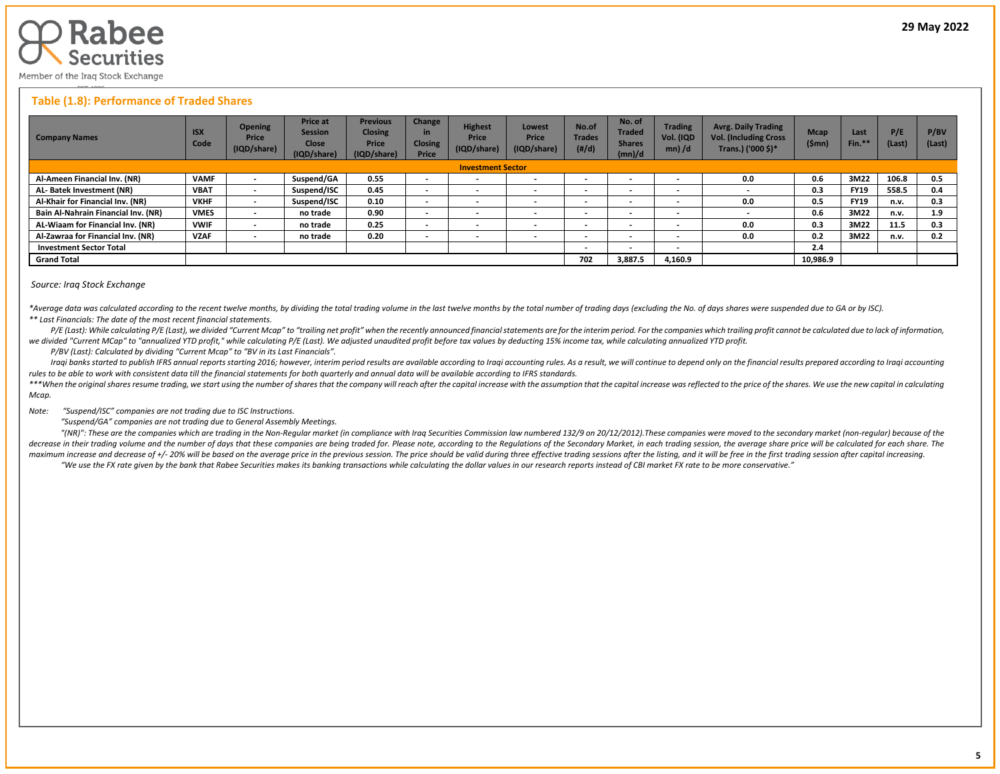

## **Table (1.8): Performance of Traded Shares**

| <b>Company Names</b>                | <b>ISX</b><br>Code | <b>Opening</b><br>Price<br>(IQD/share) | <b>Price at</b><br><b>Session</b><br><b>Close</b><br>(IQD/share) | <b>Previous</b><br><b>Closing</b><br><b>Price</b><br>(IQD/share) | Change<br>in<br><b>Closing</b><br><b>Price</b> | <b>Highest</b><br>Price<br>(IQD/share) | Lowest<br><b>Price</b><br>(IQD/share) | No.of<br><b>Trades</b><br>(H/d) | No. of<br><b>Traded</b><br><b>Shares</b><br>(mn)/d | <b>Trading</b><br>Vol. (IQD<br>$mn)$ /d | <b>Avrg. Daily Trading</b><br><b>Vol. (Including Cross</b><br>Trans.) ('000 \$)* | <b>Mcap</b><br>(\$mn) | Last<br>Fin.* | P/E<br>(Last) | P/BV<br>(Last) |
|-------------------------------------|--------------------|----------------------------------------|------------------------------------------------------------------|------------------------------------------------------------------|------------------------------------------------|----------------------------------------|---------------------------------------|---------------------------------|----------------------------------------------------|-----------------------------------------|----------------------------------------------------------------------------------|-----------------------|---------------|---------------|----------------|
| <b>Investment Sector</b>            |                    |                                        |                                                                  |                                                                  |                                                |                                        |                                       |                                 |                                                    |                                         |                                                                                  |                       |               |               |                |
| Al-Ameen Financial Inv. (NR)        | <b>VAMF</b>        |                                        | Suspend/GA                                                       | 0.55                                                             | $\overline{\phantom{0}}$                       | $\overline{\phantom{a}}$               |                                       |                                 | $\overline{\phantom{0}}$                           | $\overline{\phantom{0}}$                | 0.0                                                                              | 0.6                   | 3M22          | 106.8         | 0.5            |
| AL-Batek Investment (NR)            | <b>VBAT</b>        | $\,$                                   | Suspend/ISC                                                      | 0.45                                                             | $\sim$                                         | $\overline{\phantom{a}}$               | $\overline{\phantom{a}}$              | $\overline{\phantom{a}}$        | $\overline{\phantom{a}}$                           | $\overline{\phantom{0}}$                | $\overline{\phantom{0}}$                                                         | 0.3                   | <b>FY19</b>   | 558.5         | 0.4            |
| Al-Khair for Financial Inv. (NR)    | <b>VKHF</b>        | $\overline{\phantom{a}}$               | Suspend/ISC                                                      | 0.10                                                             | $\overline{\phantom{0}}$                       | $\overline{\phantom{a}}$               |                                       |                                 | $\overline{\phantom{0}}$                           | $\overline{\phantom{0}}$                | 0.0                                                                              | 0.5                   | <b>FY19</b>   | n.v.          | 0.3            |
| Bain Al-Nahrain Financial Inv. (NR) | <b>VMES</b>        | $\,$                                   | no trade                                                         | 0.90                                                             | $\overline{\phantom{0}}$                       | $\overline{\phantom{a}}$               |                                       |                                 | $\overline{\phantom{0}}$                           | $\overline{\phantom{0}}$                |                                                                                  | 0.6                   | 3M22          | n.v.          | 1.9            |
| AL-Wiaam for Financial Inv. (NR)    | <b>VWIF</b>        | $\overline{\phantom{0}}$               | no trade                                                         | 0.25                                                             | $\overline{\phantom{0}}$                       |                                        |                                       |                                 | $\blacksquare$                                     | $\overline{\phantom{0}}$                | 0.0                                                                              | 0.3                   | 3M22          | 11.5          | 0.3            |
| Al-Zawraa for Financial Inv. (NR)   | <b>VZAF</b>        | $\,$                                   | no trade                                                         | 0.20                                                             | $\overline{\phantom{0}}$                       | $\overline{\phantom{a}}$               |                                       |                                 | $\overline{\phantom{0}}$                           | $\overline{\phantom{0}}$                | 0.0                                                                              | 0.2                   | 3M22          | n.v.          | 0.2            |
| <b>Investment Sector Total</b>      |                    |                                        |                                                                  |                                                                  |                                                |                                        |                                       | $\overline{\phantom{a}}$        | $\overline{\phantom{0}}$                           | $\overline{\phantom{0}}$                |                                                                                  | 2.4                   |               |               |                |
| <b>Grand Total</b>                  |                    |                                        |                                                                  |                                                                  |                                                |                                        |                                       |                                 | 3,887.5                                            | 4,160.9                                 |                                                                                  | 10,986.9              |               |               |                |

#### *Source: Iraq Stock Exchange*

\*Average data was calculated according to the recent twelve months, by dividing the total trading volume in the last twelve months by the total number of trading days (excluding the No. of days shares were suspended due to *\*\* Last Financials: The date of the most recent financial statements.* 

P/E (Last): While calculating P/E (Last), we divided "Current Mcap" to "trailing net profit" when the recently announced financial statements are for the interim period. For the companies which trailing profit cannot be ca *we divided "Current MCap" to "annualized YTD profit," while calculating P/E (Last). We adjusted unaudited profit before tax values by deducting 15% income tax, while calculating annualized YTD profit.*

 *P/BV (Last): Calculated by dividing "Current Mcap" to "BV in its Last Financials".*

Iraqi banks started to publish IFRS annual reports starting 2016; however, interim period results are available according to Iraqi accounting rules. As a result, we will continue to depend only on the financial results pre *rules to be able to work with consistent data till the financial statements for both quarterly and annual data will be available according to IFRS standards.* 

\*\*\*When the original shares resume trading, we start using the number of shares that the company will reach after the capital increase with the assumption that the capital increase was reflected to the price of the shares. *Mcap.*

*Note: "Suspend/ISC" companies are not trading due to ISC Instructions.*

 *"Suspend/GA" companies are not trading due to General Assembly Meetings.*

"(NR)": These are the companies which are trading in the Non-Regular market (in compliance with Iraq Securities Commission law numbered 132/9 on 20/12/2012). These companies were moved to the secondary market (non-regular) decrease in their trading volume and the number of days that these companies are being traded for. Please note, according to the Regulations of the Secondary Market, in each trading session, the average share price will be maximum increase and decrease of +/- 20% will be based on the average price in the previous session. The price should be valid during three effective trading sessions after the listing, and it will be free in the first tra "We use the FX rate given by the bank that Rabee Securities makes its banking transactions while calculating the dollar values in our research reports instead of CBI market FX rate to be more conservative."